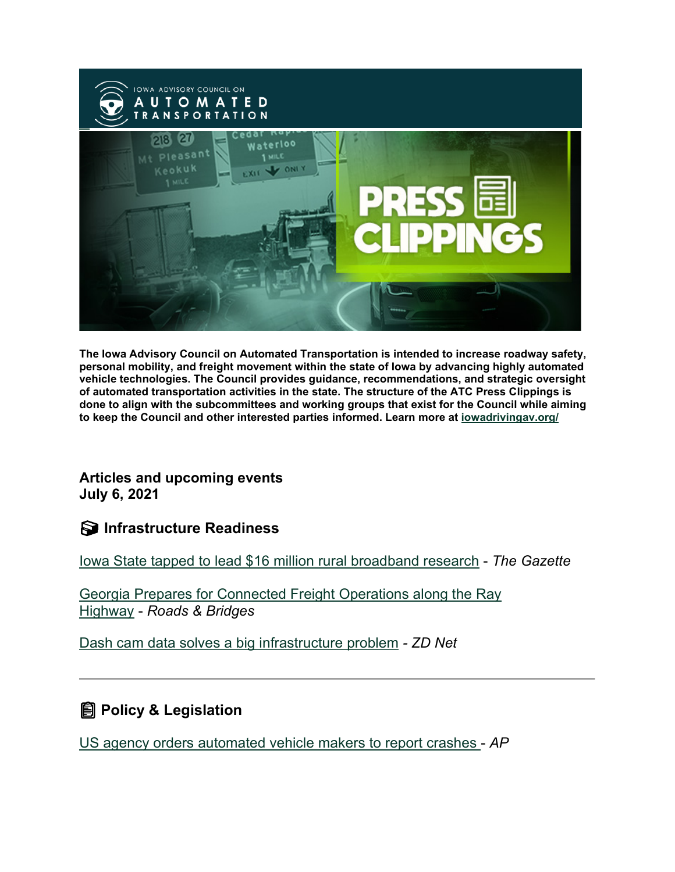

**The Iowa Advisory Council on Automated Transportation is intended to increase roadway safety, personal mobility, and freight movement within the state of Iowa by advancing highly automated vehicle technologies. The Council provides guidance, recommendations, and strategic oversight of automated transportation activities in the state. The structure of the ATC Press Clippings is done to align with the subcommittees and working groups that exist for the Council while aiming to keep the Council and other interested parties informed. Learn more at [iowadrivingav.org/](https://iowadrivingav.org/?utm_medium=email&utm_source=govdelivery)**

**Articles and upcoming events July 6, 2021**

**Infrastructure Readiness**

[Iowa State tapped to lead \\$16 million rural broadband research](https://www.thegazette.com/higher-education/iowa-state-tapped-to-lead-16-million-rural-broadband-research/?utm_medium=email&utm_source=govdelivery) - *The Gazette*

[Georgia Prepares for Connected Freight Operations along the Ray](https://www.roadsbridges.com/georgia-prepares-connected-freight-operations-along-ray-highway?utm_medium=email&utm_source=govdelivery)  [Highway](https://www.roadsbridges.com/georgia-prepares-connected-freight-operations-along-ray-highway?utm_medium=email&utm_source=govdelivery) - *Roads & Bridges*

[Dash cam data solves a big infrastructure problem](https://www.zdnet.com/article/your-dash-cam-data-may-help-solve-a-big-problem/?utm_medium=email&utm_source=govdelivery) *- ZD Net*

**Policy & Legislation**

[US agency orders automated vehicle makers to report crashes](https://apnews.com/article/technology-business-cf8fd5c2101a9ddafffe2cb6c4155fbb?utm_medium=email&utm_source=govdelivery) - *AP*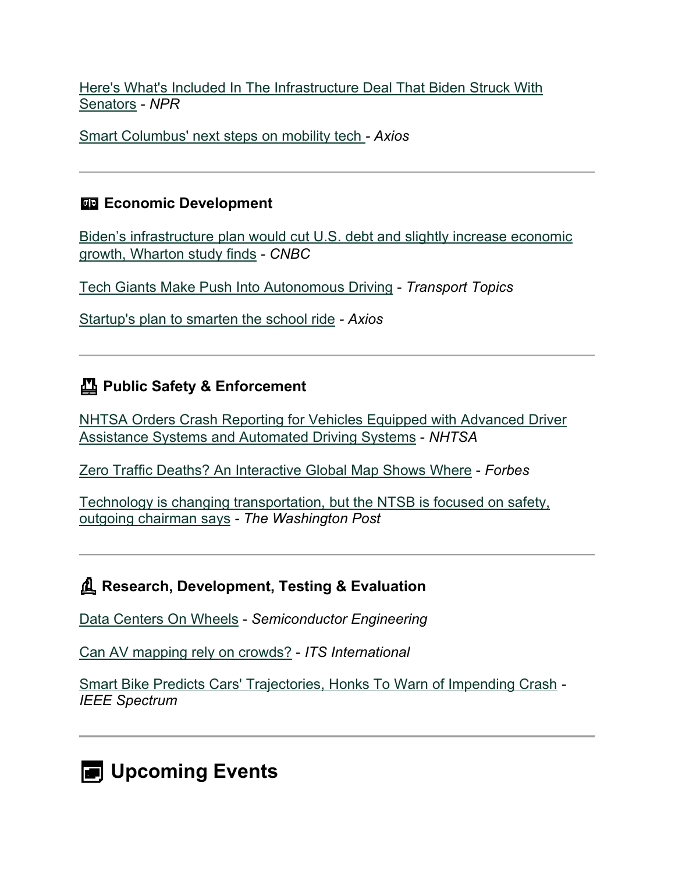[Here's What's Included In The Infrastructure Deal That Biden Struck With](https://www.npr.org/2021/06/24/1009923468/heres-whats-included-in-the-infrastructure-deal-that-biden-struck-with-senators?utm_medium=email&utm_source=govdelivery)  [Senators](https://www.npr.org/2021/06/24/1009923468/heres-whats-included-in-the-infrastructure-deal-that-biden-struck-with-senators?utm_medium=email&utm_source=govdelivery) - *NPR*

[Smart Columbus' next steps on mobility tech](https://www.axios.com/columbus-mobility-technology-dce81573-6ea5-4844-96cc-bbc58097c3ce.html?utm_medium=email&utm_source=govdelivery) *- Axios*

## **Example 2** Economic Development

Biden's infrastructure [plan would cut U.S. debt and slightly increase economic](https://www.cnbc.com/2021/06/30/biden-infrastructure-plan-would-cut-us-debt-add-to-gdp-wharton-study.html?utm_medium=email&utm_source=govdelivery)  [growth, Wharton study finds](https://www.cnbc.com/2021/06/30/biden-infrastructure-plan-would-cut-us-debt-add-to-gdp-wharton-study.html?utm_medium=email&utm_source=govdelivery) - *CNBC*

[Tech Giants Make Push Into Autonomous Driving](https://www.ttnews.com/articles/tech-giants-make-push-autonomous-driving?utm_medium=email&utm_source=govdelivery) - *Transport Topics*

[Startup's plan to smarten the school ride](https://www.axios.com/zum-smart-school-bus-transit-ab0623ab-eb7f-49fd-bacb-0f447761e83c.html?utm_medium=email&utm_source=govdelivery) *- Axios*

## **Public Safety & Enforcement**

[NHTSA Orders Crash Reporting for Vehicles Equipped with Advanced Driver](https://www.nhtsa.gov/press-releases/nhtsa-orders-crash-reporting-vehicles-equipped-advanced-driver-assistance-systems?utm_medium=email&utm_source=govdelivery)  [Assistance Systems and Automated Driving Systems](https://www.nhtsa.gov/press-releases/nhtsa-orders-crash-reporting-vehicles-equipped-advanced-driver-assistance-systems?utm_medium=email&utm_source=govdelivery) - *NHTSA*

[Zero Traffic Deaths? An Interactive Global Map Shows Where](https://www.forbes.com/sites/tanyamohn/2021/06/27/zero-traffic-deaths-an-interactive-global-map-shows-where/?sh=3084d2155f8d&utm_medium=email&utm_source=govdelivery) - *Forbes*

[Technology is changing transportation, but the NTSB is focused on safety,](https://www.washingtonpost.com/transportation/2021/06/25/ntsb-chairman-robert-sumwalt/?utm_medium=email&utm_source=govdelivery)  [outgoing chairman says](https://www.washingtonpost.com/transportation/2021/06/25/ntsb-chairman-robert-sumwalt/?utm_medium=email&utm_source=govdelivery) *- The Washington Post*

## **Research, Development, Testing & Evaluation**

[Data Centers On Wheels](https://semiengineering.com/data-centers-on-wheels/?utm_medium=email&utm_source=govdelivery) - *Semiconductor Engineering*

[Can AV mapping rely on crowds?](https://www.itsinternational.com/its4/its5/its6/its7/feature/can-av-mapping-rely-crowds?utm_medium=email&utm_source=govdelivery) - *ITS International*

[Smart Bike Predicts Cars' Trajectories, Honks To Warn of Impending Crash](https://spectrum.ieee.org/tech-talk/transportation/safety/smart-bike-protects-itself-against-collisions?utm_medium=email&utm_source=govdelivery) *- IEEE Spectrum*

**D**Upcoming Events